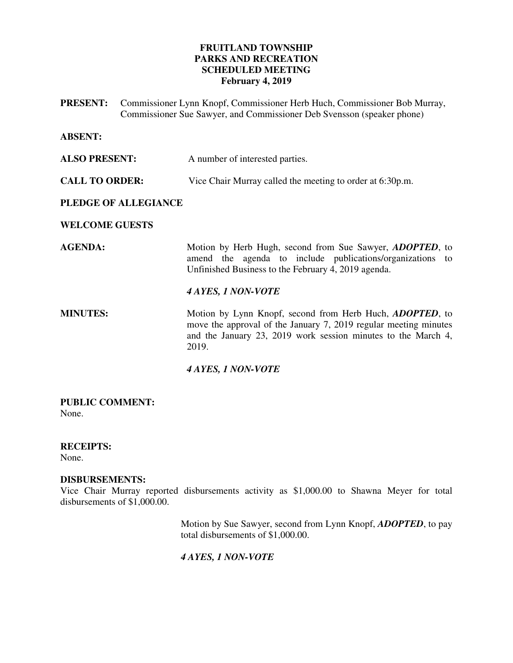# **FRUITLAND TOWNSHIP PARKS AND RECREATION SCHEDULED MEETING February 4, 2019**

**PRESENT:** Commissioner Lynn Knopf, Commissioner Herb Huch, Commissioner Bob Murray, Commissioner Sue Sawyer, and Commissioner Deb Svensson (speaker phone)

### **ABSENT:**

**ALSO PRESENT:** A number of interested parties.

**CALL TO ORDER:** Vice Chair Murray called the meeting to order at 6:30p.m.

## **PLEDGE OF ALLEGIANCE**

### **WELCOME GUESTS**

**AGENDA:** Motion by Herb Hugh, second from Sue Sawyer, *ADOPTED*, to amend the agenda to include publications/organizations to Unfinished Business to the February 4, 2019 agenda.

## *4 AYES, 1 NON-VOTE*

**MINUTES:** Motion by Lynn Knopf, second from Herb Huch, *ADOPTED*, to move the approval of the January 7, 2019 regular meeting minutes and the January 23, 2019 work session minutes to the March 4, 2019.

### *4 AYES, 1 NON-VOTE*

#### **PUBLIC COMMENT:**  None.

# **RECEIPTS:**

None.

### **DISBURSEMENTS:**

Vice Chair Murray reported disbursements activity as \$1,000.00 to Shawna Meyer for total disbursements of \$1,000.00.

> Motion by Sue Sawyer, second from Lynn Knopf, *ADOPTED*, to pay total disbursements of \$1,000.00.

# *4 AYES, 1 NON-VOTE*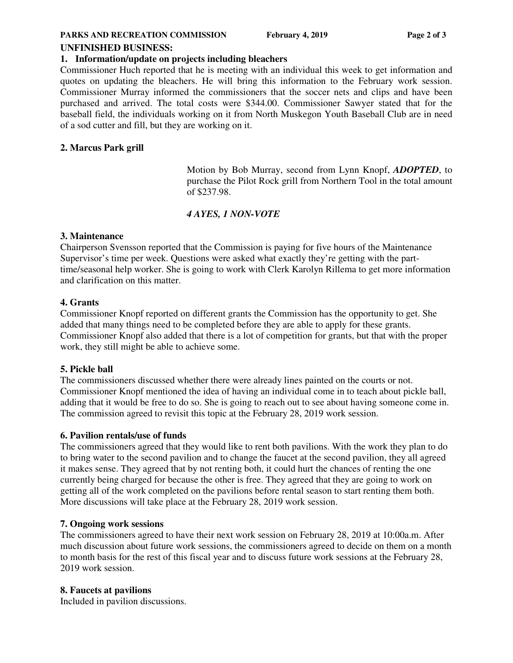#### **PARKS AND RECREATION COMMISSION** February 4, 2019 Page 2 of 3

#### **UNFINISHED BUSINESS:**

### **1. Information/update on projects including bleachers**

Commissioner Huch reported that he is meeting with an individual this week to get information and quotes on updating the bleachers. He will bring this information to the February work session. Commissioner Murray informed the commissioners that the soccer nets and clips and have been purchased and arrived. The total costs were \$344.00. Commissioner Sawyer stated that for the baseball field, the individuals working on it from North Muskegon Youth Baseball Club are in need of a sod cutter and fill, but they are working on it.

## **2. Marcus Park grill**

 Motion by Bob Murray, second from Lynn Knopf, *ADOPTED*, to purchase the Pilot Rock grill from Northern Tool in the total amount of \$237.98.

## *4 AYES, 1 NON-VOTE*

### **3. Maintenance**

Chairperson Svensson reported that the Commission is paying for five hours of the Maintenance Supervisor's time per week. Questions were asked what exactly they're getting with the parttime/seasonal help worker. She is going to work with Clerk Karolyn Rillema to get more information and clarification on this matter.

### **4. Grants**

Commissioner Knopf reported on different grants the Commission has the opportunity to get. She added that many things need to be completed before they are able to apply for these grants. Commissioner Knopf also added that there is a lot of competition for grants, but that with the proper work, they still might be able to achieve some.

### **5. Pickle ball**

The commissioners discussed whether there were already lines painted on the courts or not. Commissioner Knopf mentioned the idea of having an individual come in to teach about pickle ball, adding that it would be free to do so. She is going to reach out to see about having someone come in. The commission agreed to revisit this topic at the February 28, 2019 work session.

### **6. Pavilion rentals/use of funds**

The commissioners agreed that they would like to rent both pavilions. With the work they plan to do to bring water to the second pavilion and to change the faucet at the second pavilion, they all agreed it makes sense. They agreed that by not renting both, it could hurt the chances of renting the one currently being charged for because the other is free. They agreed that they are going to work on getting all of the work completed on the pavilions before rental season to start renting them both. More discussions will take place at the February 28, 2019 work session.

### **7. Ongoing work sessions**

The commissioners agreed to have their next work session on February 28, 2019 at 10:00a.m. After much discussion about future work sessions, the commissioners agreed to decide on them on a month to month basis for the rest of this fiscal year and to discuss future work sessions at the February 28, 2019 work session.

### **8. Faucets at pavilions**

Included in pavilion discussions.